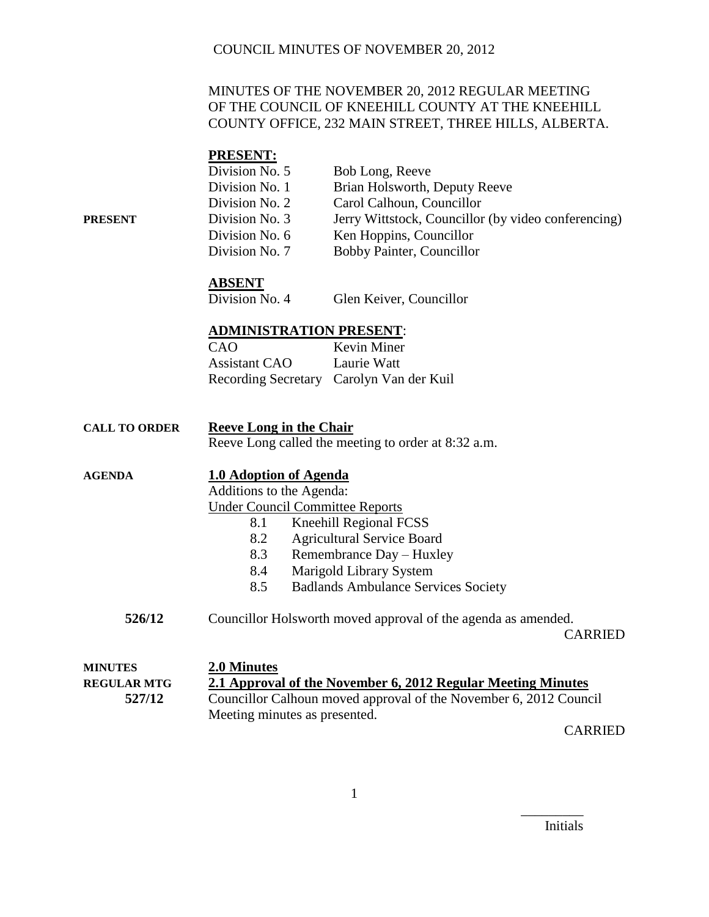# MINUTES OF THE NOVEMBER 20, 2012 REGULAR MEETING OF THE COUNCIL OF KNEEHILL COUNTY AT THE KNEEHILL COUNTY OFFICE, 232 MAIN STREET, THREE HILLS, ALBERTA.

# **PRESENT:**

|         | Division No. 5 | Bob Long, Reeve                                     |
|---------|----------------|-----------------------------------------------------|
|         | Division No. 1 | Brian Holsworth, Deputy Reeve                       |
|         | Division No. 2 | Carol Calhoun, Councillor                           |
| PRESENT | Division No. 3 | Jerry Wittstock, Councillor (by video conferencing) |
|         | Division No. 6 | Ken Hoppins, Councillor                             |
|         | Division No. 7 | Bobby Painter, Councillor                           |
|         |                |                                                     |

## **ABSENT**

Division No. 4 Glen Keiver, Councillor

#### **ADMINISTRATION PRESENT**:

| CAO           | Kevin Miner                              |
|---------------|------------------------------------------|
| Assistant CAO | Laurie Watt                              |
|               | Recording Secretary Carolyn Van der Kuil |

| <b>CALL TO ORDER</b> | Reeve Long in the Chair                             |
|----------------------|-----------------------------------------------------|
|                      | Reeve Long called the meeting to order at 8:32 a.m. |

| <b>AGENDA</b> | 1.0 Adoption of Agenda                                                  |
|---------------|-------------------------------------------------------------------------|
|               | Additions to the Agenda:                                                |
|               | <b>Under Council Committee Reports</b>                                  |
|               | <b>Kneehill Regional FCSS</b><br>8.1                                    |
|               | <b>Agricultural Service Board</b><br>8.2                                |
|               | Remembrance Day - Huxley<br>8.3                                         |
|               | Marigold Library System<br>8.4                                          |
|               | <b>Badlands Ambulance Services Society</b><br>8.5                       |
| 526/12        | Councillor Holsworth moved approval of the agenda as amended.<br>$\sim$ |

| <b>MINUTES</b>     | 2.0 Minutes                                                       |
|--------------------|-------------------------------------------------------------------|
| <b>REGULAR MTG</b> | 2.1 Approval of the November 6, 2012 Regular Meeting Minutes      |
| 527/12             | Councillor Calhoun moved approval of the November 6, 2012 Council |
|                    | Meeting minutes as presented.                                     |

CARRIED

CARRIED

Initials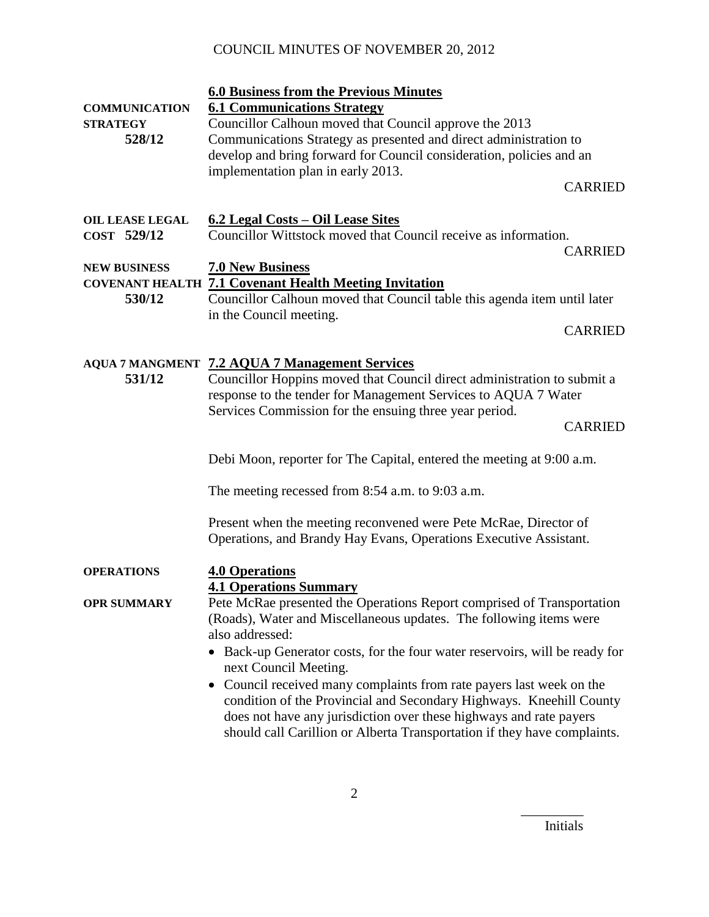| <b>COMMUNICATION</b><br><b>STRATEGY</b><br>528/12 | <b>6.0 Business from the Previous Minutes</b><br><b>6.1 Communications Strategy</b><br>Councillor Calhoun moved that Council approve the 2013<br>Communications Strategy as presented and direct administration to<br>develop and bring forward for Council consideration, policies and an<br>implementation plan in early 2013.<br><b>CARRIED</b>                                                                                                                                                                                                                     |
|---------------------------------------------------|------------------------------------------------------------------------------------------------------------------------------------------------------------------------------------------------------------------------------------------------------------------------------------------------------------------------------------------------------------------------------------------------------------------------------------------------------------------------------------------------------------------------------------------------------------------------|
| <b>OIL LEASE LEGAL</b><br>COST 529/12             | 6.2 Legal Costs – Oil Lease Sites<br>Councillor Wittstock moved that Council receive as information.<br><b>CARRIED</b>                                                                                                                                                                                                                                                                                                                                                                                                                                                 |
| <b>NEW BUSINESS</b><br>530/12                     | <b>7.0 New Business</b><br><b>COVENANT HEALTH 7.1 Covenant Health Meeting Invitation</b><br>Councillor Calhoun moved that Council table this agenda item until later<br>in the Council meeting.<br><b>CARRIED</b>                                                                                                                                                                                                                                                                                                                                                      |
| 531/12                                            | <b>AQUA 7 MANGMENT 7.2 AQUA 7 Management Services</b><br>Councillor Hoppins moved that Council direct administration to submit a<br>response to the tender for Management Services to AQUA 7 Water<br>Services Commission for the ensuing three year period.<br><b>CARRIED</b>                                                                                                                                                                                                                                                                                         |
|                                                   | Debi Moon, reporter for The Capital, entered the meeting at 9:00 a.m.<br>The meeting recessed from 8:54 a.m. to 9:03 a.m.<br>Present when the meeting reconvened were Pete McRae, Director of                                                                                                                                                                                                                                                                                                                                                                          |
|                                                   | Operations, and Brandy Hay Evans, Operations Executive Assistant.                                                                                                                                                                                                                                                                                                                                                                                                                                                                                                      |
| <b>OPERATIONS</b>                                 | <b>4.0 Operations</b><br><b>4.1 Operations Summary</b>                                                                                                                                                                                                                                                                                                                                                                                                                                                                                                                 |
| <b>OPR SUMMARY</b>                                | Pete McRae presented the Operations Report comprised of Transportation<br>(Roads), Water and Miscellaneous updates. The following items were<br>also addressed:<br>• Back-up Generator costs, for the four water reservoirs, will be ready for<br>next Council Meeting.<br>Council received many complaints from rate payers last week on the<br>condition of the Provincial and Secondary Highways. Kneehill County<br>does not have any jurisdiction over these highways and rate payers<br>should call Carillion or Alberta Transportation if they have complaints. |

Initials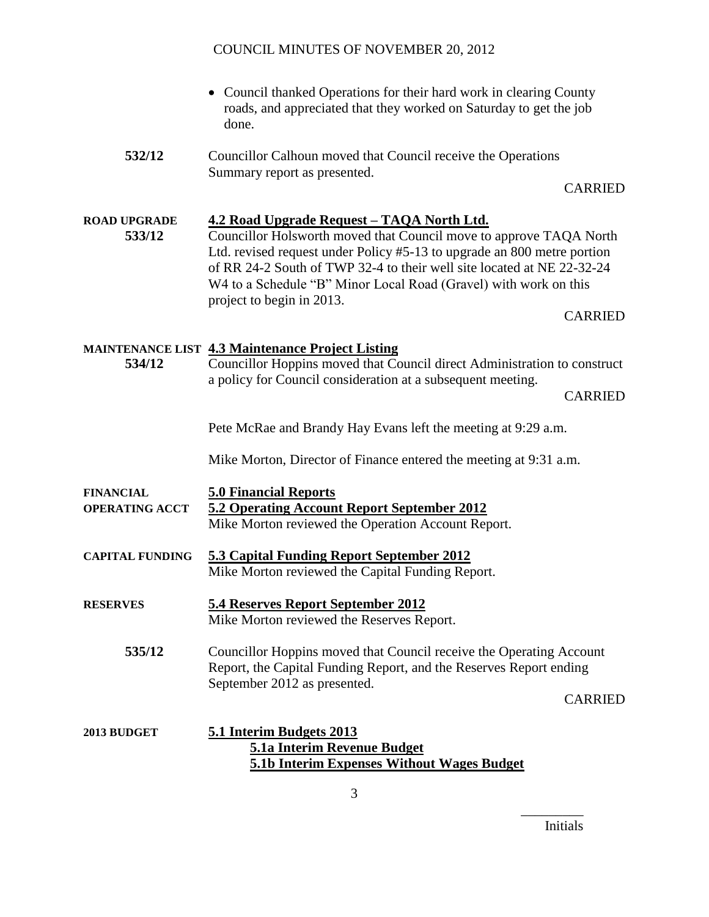- Council thanked Operations for their hard work in clearing County roads, and appreciated that they worked on Saturday to get the job done.
- **532/12** Councillor Calhoun moved that Council receive the Operations Summary report as presented.

CARRIED

**ROAD UPGRADE 4.2 Road Upgrade Request – TAQA North Ltd. 533/12** Councillor Holsworth moved that Council move to approve TAQA North Ltd. revised request under Policy #5-13 to upgrade an 800 metre portion of RR 24-2 South of TWP 32-4 to their well site located at NE 22-32-24 W<sub>4</sub> to a Schedule "B" Minor Local Road (Gravel) with work on this project to begin in 2013.

CARRIED

#### **MAINTENANCE LIST 4.3 Maintenance Project Listing**

**534/12** Councillor Hoppins moved that Council direct Administration to construct a policy for Council consideration at a subsequent meeting.

CARRIED

Pete McRae and Brandy Hay Evans left the meeting at 9:29 a.m.

Mike Morton, Director of Finance entered the meeting at 9:31 a.m.

- **FINANCIAL 5.0 Financial Reports OPERATING ACCT 5.2 Operating Account Report September 2012** Mike Morton reviewed the Operation Account Report. **CAPITAL FUNDING 5.3 Capital Funding Report September 2012** Mike Morton reviewed the Capital Funding Report. **RESERVES 5.4 Reserves Report September 2012** Mike Morton reviewed the Reserves Report.
	- **535/12** Councillor Hoppins moved that Council receive the Operating Account Report, the Capital Funding Report, and the Reserves Report ending September 2012 as presented.

CARRIED

# **2013 BUDGET 5.1 Interim Budgets 2013 5.1a Interim Revenue Budget 5.1b Interim Expenses Without Wages Budget**

Initials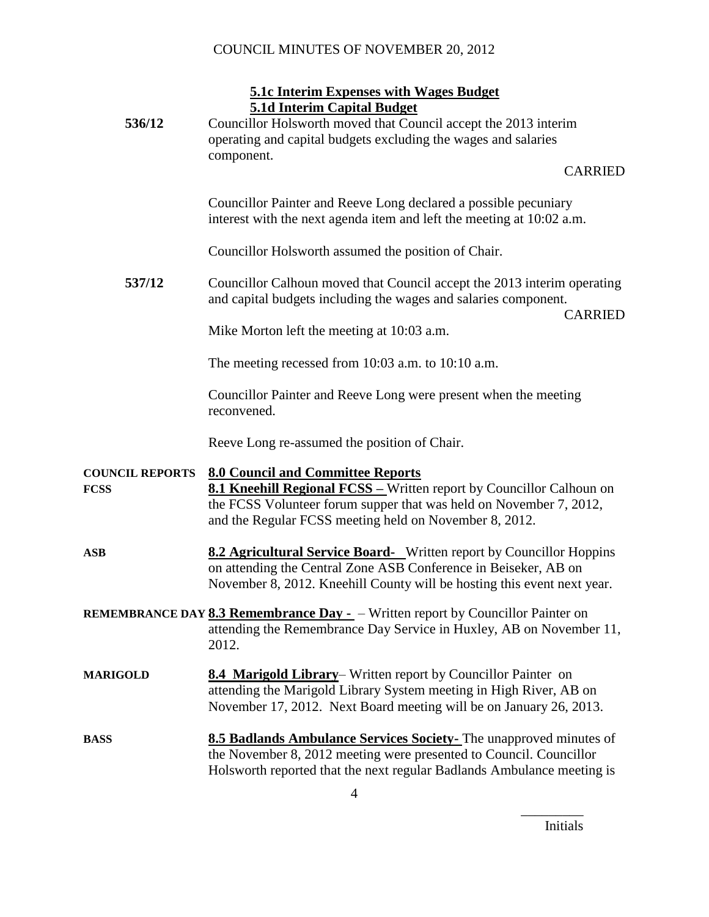## **5.1c Interim Expenses with Wages Budget 5.1d Interim Capital Budget**

| 536/12                         | <u>5.10 Interim Capital Budget</u><br>Councillor Holsworth moved that Council accept the 2013 interim<br>operating and capital budgets excluding the wages and salaries<br>component.                                                                   |                |
|--------------------------------|---------------------------------------------------------------------------------------------------------------------------------------------------------------------------------------------------------------------------------------------------------|----------------|
|                                |                                                                                                                                                                                                                                                         | <b>CARRIED</b> |
|                                | Councillor Painter and Reeve Long declared a possible pecuniary<br>interest with the next agenda item and left the meeting at 10:02 a.m.                                                                                                                |                |
|                                | Councillor Holsworth assumed the position of Chair.                                                                                                                                                                                                     |                |
| 537/12                         | Councillor Calhoun moved that Council accept the 2013 interim operating<br>and capital budgets including the wages and salaries component.                                                                                                              | <b>CARRIED</b> |
|                                | Mike Morton left the meeting at 10:03 a.m.                                                                                                                                                                                                              |                |
|                                | The meeting recessed from 10:03 a.m. to 10:10 a.m.                                                                                                                                                                                                      |                |
|                                | Councillor Painter and Reeve Long were present when the meeting<br>reconvened.                                                                                                                                                                          |                |
|                                | Reeve Long re-assumed the position of Chair.                                                                                                                                                                                                            |                |
| <b>COUNCIL REPORTS</b><br>FCSS | <b>8.0 Council and Committee Reports</b><br><b>8.1 Kneehill Regional FCSS - Written report by Councillor Calhoun on</b><br>the FCSS Volunteer forum supper that was held on November 7, 2012,<br>and the Regular FCSS meeting held on November 8, 2012. |                |
| ASB                            | <b>8.2 Agricultural Service Board-</b> Written report by Councillor Hoppins<br>on attending the Central Zone ASB Conference in Beiseker, AB on<br>November 8, 2012. Kneehill County will be hosting this event next year.                               |                |
|                                | <b>REMEMBRANCE DAY 8.3 Remembrance Day -</b> - Written report by Councillor Painter on<br>attending the Remembrance Day Service in Huxley, AB on November 11,<br>2012.                                                                                  |                |
| <b>MARIGOLD</b>                | <b>8.4 Marigold Library</b> Written report by Councillor Painter on<br>attending the Marigold Library System meeting in High River, AB on<br>November 17, 2012. Next Board meeting will be on January 26, 2013.                                         |                |
| BASS                           | 8.5 Badlands Ambulance Services Society- The unapproved minutes of<br>the November 8, 2012 meeting were presented to Council. Councillor<br>Holsworth reported that the next regular Badlands Ambulance meeting is                                      |                |

Initials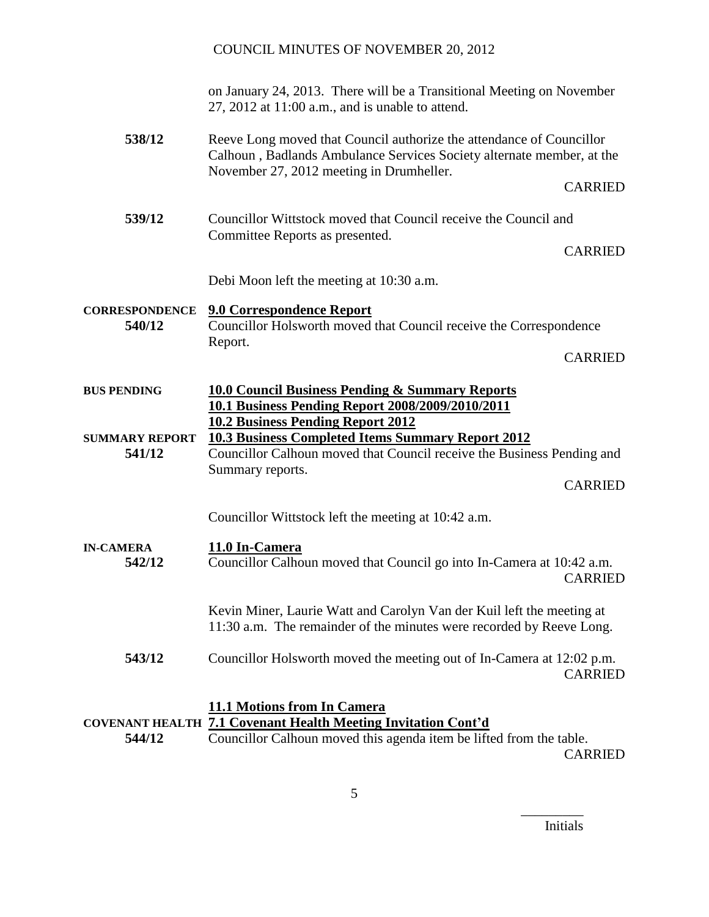|                                 | on January 24, 2013. There will be a Transitional Meeting on November<br>$27, 2012$ at $11:00$ a.m., and is unable to attend.                                                             |                |
|---------------------------------|-------------------------------------------------------------------------------------------------------------------------------------------------------------------------------------------|----------------|
| 538/12                          | Reeve Long moved that Council authorize the attendance of Councillor<br>Calhoun, Badlands Ambulance Services Society alternate member, at the<br>November 27, 2012 meeting in Drumheller. |                |
|                                 |                                                                                                                                                                                           | <b>CARRIED</b> |
| 539/12                          | Councillor Wittstock moved that Council receive the Council and<br>Committee Reports as presented.                                                                                        |                |
|                                 |                                                                                                                                                                                           | <b>CARRIED</b> |
|                                 | Debi Moon left the meeting at 10:30 a.m.                                                                                                                                                  |                |
| <b>CORRESPONDENCE</b><br>540/12 | <b>9.0 Correspondence Report</b><br>Councillor Holsworth moved that Council receive the Correspondence<br>Report.                                                                         |                |
|                                 |                                                                                                                                                                                           | <b>CARRIED</b> |
| <b>BUS PENDING</b>              | <b>10.0 Council Business Pending &amp; Summary Reports</b><br>10.1 Business Pending Report 2008/2009/2010/2011<br><b>10.2 Business Pending Report 2012</b>                                |                |
| <b>SUMMARY REPORT</b><br>541/12 | <b>10.3 Business Completed Items Summary Report 2012</b><br>Councillor Calhoun moved that Council receive the Business Pending and<br>Summary reports.                                    |                |
|                                 |                                                                                                                                                                                           | <b>CARRIED</b> |
|                                 | Councillor Wittstock left the meeting at 10:42 a.m.                                                                                                                                       |                |
| <b>IN-CAMERA</b><br>542/12      | 11.0 In-Camera<br>Councillor Calhoun moved that Council go into In-Camera at 10:42 a.m.                                                                                                   | <b>CARRIED</b> |
|                                 | Kevin Miner, Laurie Watt and Carolyn Van der Kuil left the meeting at<br>11:30 a.m. The remainder of the minutes were recorded by Reeve Long.                                             |                |
| 543/12                          | Councillor Holsworth moved the meeting out of In-Camera at 12:02 p.m.                                                                                                                     | <b>CARRIED</b> |
| 544/12                          | <b>11.1 Motions from In Camera</b><br><b>COVENANT HEALTH 7.1 Covenant Health Meeting Invitation Cont'd</b><br>Councillor Calhoun moved this agenda item be lifted from the table.         | <b>CARRIED</b> |

5

Initials